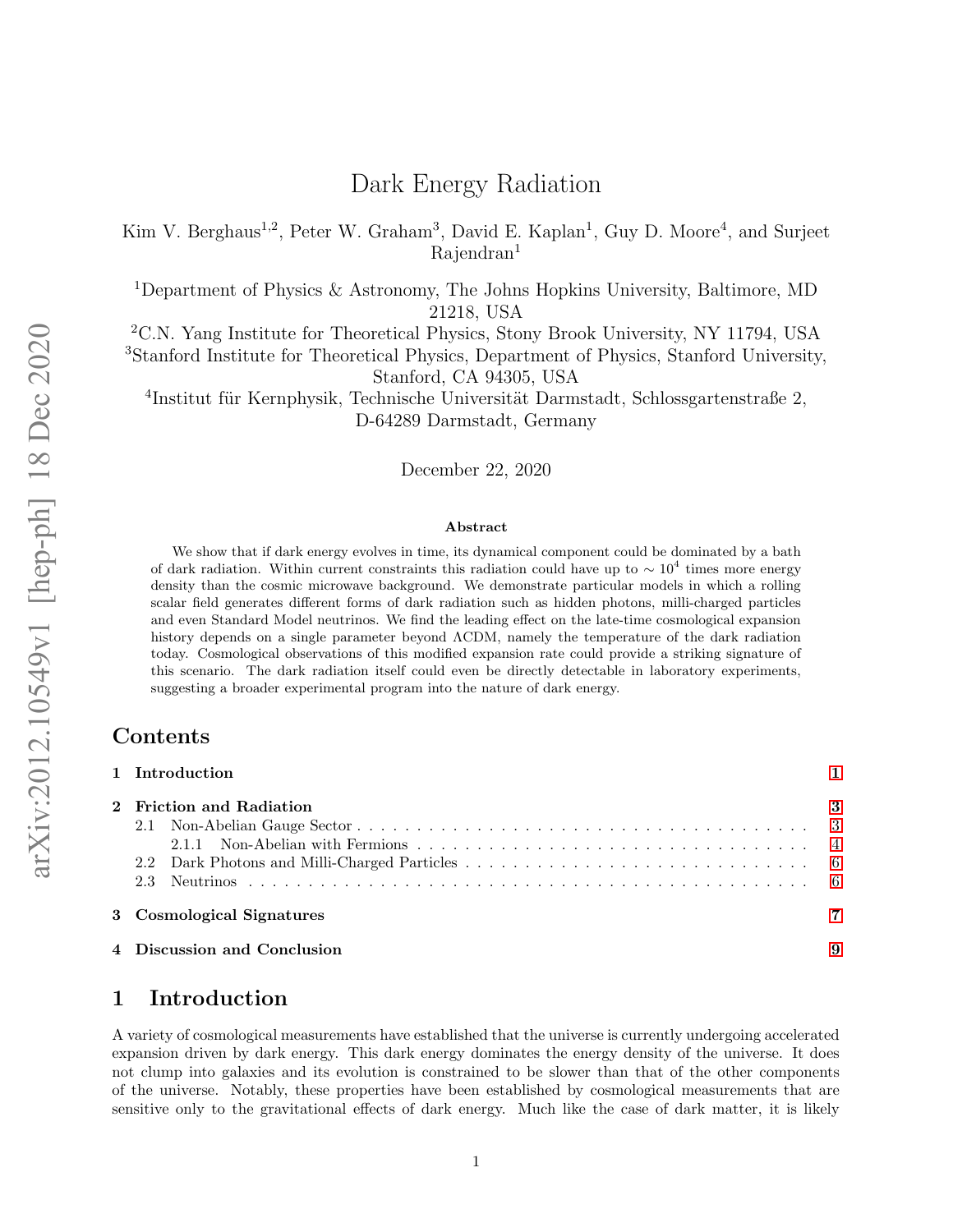# Dark Energy Radiation

Kim V. Berghaus<sup>1,2</sup>, Peter W. Graham<sup>3</sup>, David E. Kaplan<sup>1</sup>, Guy D. Moore<sup>4</sup>, and Surjeet Rajendran<sup>1</sup>

<sup>1</sup>Department of Physics & Astronomy, The Johns Hopkins University, Baltimore, MD 21218, USA

<sup>2</sup>C.N. Yang Institute for Theoretical Physics, Stony Brook University, NY 11794, USA

<sup>3</sup>Stanford Institute for Theoretical Physics, Department of Physics, Stanford University, Stanford, CA 94305, USA

<sup>4</sup>Institut für Kernphysik, Technische Universität Darmstadt, Schlossgartenstraße 2, D-64289 Darmstadt, Germany

December 22, 2020

#### Abstract

We show that if dark energy evolves in time, its dynamical component could be dominated by a bath of dark radiation. Within current constraints this radiation could have up to  $\sim 10^4$  times more energy density than the cosmic microwave background. We demonstrate particular models in which a rolling scalar field generates different forms of dark radiation such as hidden photons, milli-charged particles and even Standard Model neutrinos. We find the leading effect on the late-time cosmological expansion history depends on a single parameter beyond ΛCDM, namely the temperature of the dark radiation today. Cosmological observations of this modified expansion rate could provide a striking signature of this scenario. The dark radiation itself could even be directly detectable in laboratory experiments, suggesting a broader experimental program into the nature of dark energy.

### Contents

| 1 Introduction              |    |
|-----------------------------|----|
| 2 Friction and Radiation    | -3 |
| 3 Cosmological Signatures   |    |
| 4 Discussion and Conclusion | 9  |

## <span id="page-0-0"></span>1 Introduction

A variety of cosmological measurements have established that the universe is currently undergoing accelerated expansion driven by dark energy. This dark energy dominates the energy density of the universe. It does not clump into galaxies and its evolution is constrained to be slower than that of the other components of the universe. Notably, these properties have been established by cosmological measurements that are sensitive only to the gravitational effects of dark energy. Much like the case of dark matter, it is likely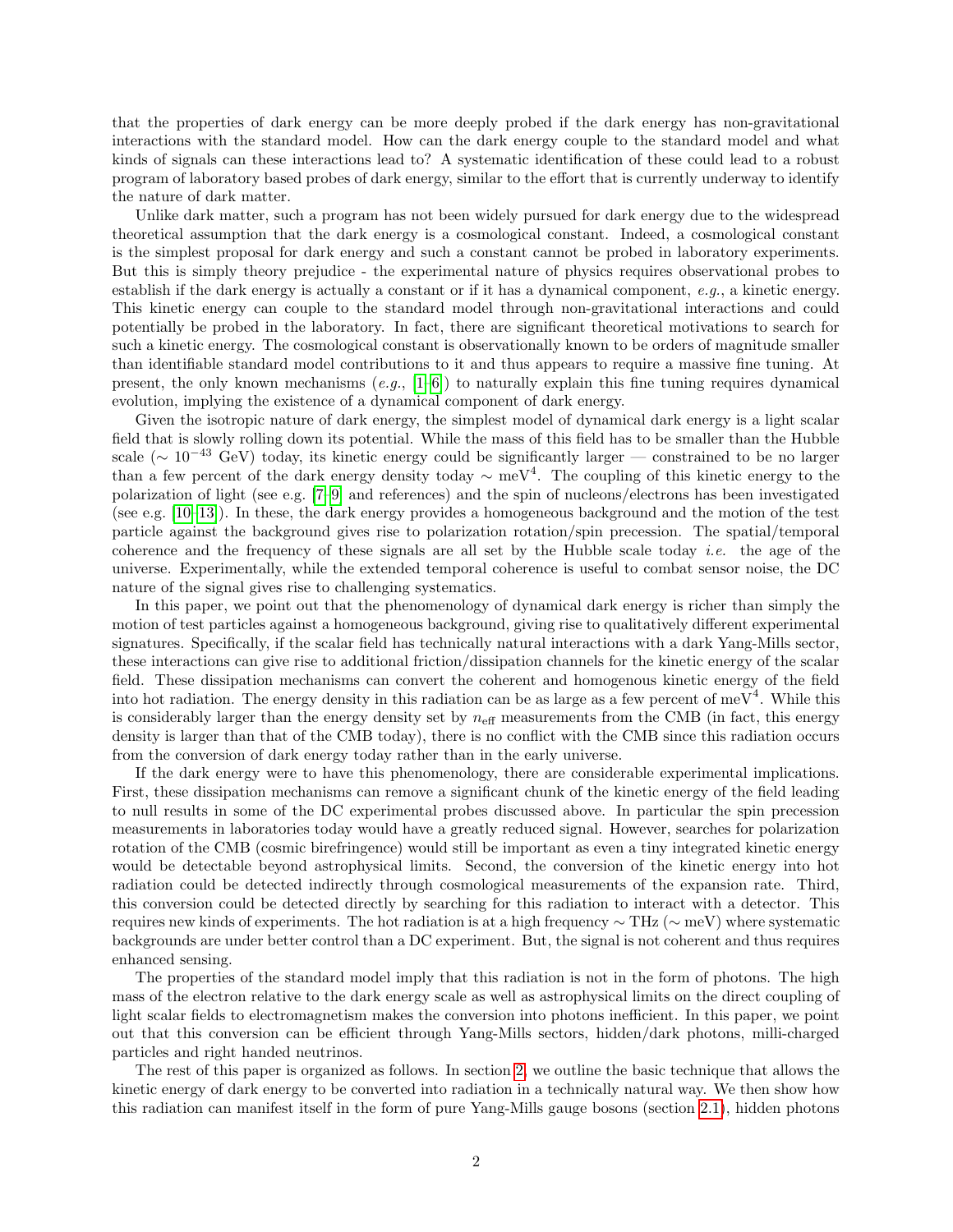that the properties of dark energy can be more deeply probed if the dark energy has non-gravitational interactions with the standard model. How can the dark energy couple to the standard model and what kinds of signals can these interactions lead to? A systematic identification of these could lead to a robust program of laboratory based probes of dark energy, similar to the effort that is currently underway to identify the nature of dark matter.

Unlike dark matter, such a program has not been widely pursued for dark energy due to the widespread theoretical assumption that the dark energy is a cosmological constant. Indeed, a cosmological constant is the simplest proposal for dark energy and such a constant cannot be probed in laboratory experiments. But this is simply theory prejudice - the experimental nature of physics requires observational probes to establish if the dark energy is actually a constant or if it has a dynamical component, e.g., a kinetic energy. This kinetic energy can couple to the standard model through non-gravitational interactions and could potentially be probed in the laboratory. In fact, there are significant theoretical motivations to search for such a kinetic energy. The cosmological constant is observationally known to be orders of magnitude smaller than identifiable standard model contributions to it and thus appears to require a massive fine tuning. At present, the only known mechanisms  $(e.g., [1-6])$  $(e.g., [1-6])$  $(e.g., [1-6])$  to naturally explain this fine tuning requires dynamical evolution, implying the existence of a dynamical component of dark energy.

Given the isotropic nature of dark energy, the simplest model of dynamical dark energy is a light scalar field that is slowly rolling down its potential. While the mass of this field has to be smaller than the Hubble scale ( $\sim 10^{-43}$  GeV) today, its kinetic energy could be significantly larger — constrained to be no larger than a few percent of the dark energy density today  $\sim$  meV<sup>4</sup>. The coupling of this kinetic energy to the polarization of light (see e.g. [\[7–](#page-10-1)[9\]](#page-10-2) and references) and the spin of nucleons/electrons has been investigated (see e.g. [\[10–](#page-10-3)[13\]](#page-10-4)). In these, the dark energy provides a homogeneous background and the motion of the test particle against the background gives rise to polarization rotation/spin precession. The spatial/temporal coherence and the frequency of these signals are all set by the Hubble scale today i.e. the age of the universe. Experimentally, while the extended temporal coherence is useful to combat sensor noise, the DC nature of the signal gives rise to challenging systematics.

In this paper, we point out that the phenomenology of dynamical dark energy is richer than simply the motion of test particles against a homogeneous background, giving rise to qualitatively different experimental signatures. Specifically, if the scalar field has technically natural interactions with a dark Yang-Mills sector, these interactions can give rise to additional friction/dissipation channels for the kinetic energy of the scalar field. These dissipation mechanisms can convert the coherent and homogenous kinetic energy of the field into hot radiation. The energy density in this radiation can be as large as a few percent of meV<sup>4</sup>. While this is considerably larger than the energy density set by  $n_{\text{eff}}$  measurements from the CMB (in fact, this energy density is larger than that of the CMB today), there is no conflict with the CMB since this radiation occurs from the conversion of dark energy today rather than in the early universe.

If the dark energy were to have this phenomenology, there are considerable experimental implications. First, these dissipation mechanisms can remove a significant chunk of the kinetic energy of the field leading to null results in some of the DC experimental probes discussed above. In particular the spin precession measurements in laboratories today would have a greatly reduced signal. However, searches for polarization rotation of the CMB (cosmic birefringence) would still be important as even a tiny integrated kinetic energy would be detectable beyond astrophysical limits. Second, the conversion of the kinetic energy into hot radiation could be detected indirectly through cosmological measurements of the expansion rate. Third, this conversion could be detected directly by searching for this radiation to interact with a detector. This requires new kinds of experiments. The hot radiation is at a high frequency ∼ THz (∼ meV) where systematic backgrounds are under better control than a DC experiment. But, the signal is not coherent and thus requires enhanced sensing.

The properties of the standard model imply that this radiation is not in the form of photons. The high mass of the electron relative to the dark energy scale as well as astrophysical limits on the direct coupling of light scalar fields to electromagnetism makes the conversion into photons inefficient. In this paper, we point out that this conversion can be efficient through Yang-Mills sectors, hidden/dark photons, milli-charged particles and right handed neutrinos.

The rest of this paper is organized as follows. In section [2,](#page-2-0) we outline the basic technique that allows the kinetic energy of dark energy to be converted into radiation in a technically natural way. We then show how this radiation can manifest itself in the form of pure Yang-Mills gauge bosons (section [2.1\)](#page-2-1), hidden photons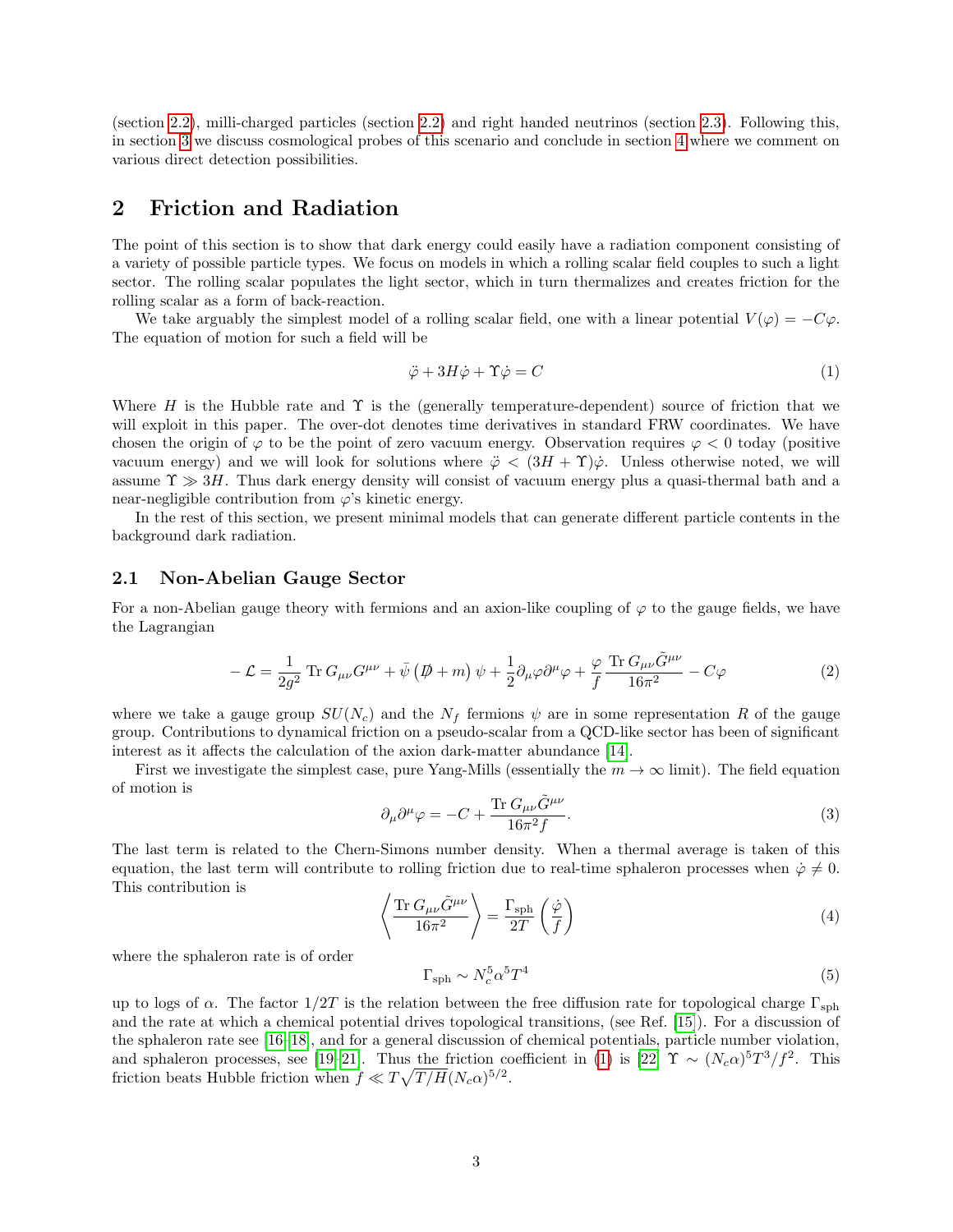(section [2.2\)](#page-5-0), milli-charged particles (section [2.2\)](#page-5-0) and right handed neutrinos (section [2.3\)](#page-5-1). Following this, in section [3](#page-6-0) we discuss cosmological probes of this scenario and conclude in section [4](#page-8-0) where we comment on various direct detection possibilities.

### <span id="page-2-0"></span>2 Friction and Radiation

The point of this section is to show that dark energy could easily have a radiation component consisting of a variety of possible particle types. We focus on models in which a rolling scalar field couples to such a light sector. The rolling scalar populates the light sector, which in turn thermalizes and creates friction for the rolling scalar as a form of back-reaction.

We take arguably the simplest model of a rolling scalar field, one with a linear potential  $V(\varphi) = -C\varphi$ . The equation of motion for such a field will be

<span id="page-2-2"></span>
$$
\ddot{\varphi} + 3H\dot{\varphi} + \Upsilon \dot{\varphi} = C \tag{1}
$$

Where H is the Hubble rate and  $\Upsilon$  is the (generally temperature-dependent) source of friction that we will exploit in this paper. The over-dot denotes time derivatives in standard FRW coordinates. We have chosen the origin of  $\varphi$  to be the point of zero vacuum energy. Observation requires  $\varphi < 0$  today (positive vacuum energy) and we will look for solutions where  $\ddot{\varphi} < (3H + \Upsilon)\dot{\varphi}$ . Unless otherwise noted, we will assume  $\Upsilon \gg 3H$ . Thus dark energy density will consist of vacuum energy plus a quasi-thermal bath and a near-negligible contribution from  $\varphi$ 's kinetic energy.

In the rest of this section, we present minimal models that can generate different particle contents in the background dark radiation.

### <span id="page-2-1"></span>2.1 Non-Abelian Gauge Sector

For a non-Abelian gauge theory with fermions and an axion-like coupling of  $\varphi$  to the gauge fields, we have the Lagrangian

<span id="page-2-3"></span>
$$
-\mathcal{L} = \frac{1}{2g^2} \operatorname{Tr} G_{\mu\nu} G^{\mu\nu} + \bar{\psi} \left( \not{D} + m \right) \psi + \frac{1}{2} \partial_{\mu} \varphi \partial^{\mu} \varphi + \frac{\varphi}{f} \frac{\operatorname{Tr} G_{\mu\nu} \tilde{G}^{\mu\nu}}{16\pi^2} - C \varphi \tag{2}
$$

where we take a gauge group  $SU(N_c)$  and the  $N_f$  fermions  $\psi$  are in some representation R of the gauge group. Contributions to dynamical friction on a pseudo-scalar from a QCD-like sector has been of significant interest as it affects the calculation of the axion dark-matter abundance [\[14\]](#page-10-5).

First we investigate the simplest case, pure Yang-Mills (essentially the  $m \to \infty$  limit). The field equation of motion is

$$
\partial_{\mu}\partial^{\mu}\varphi = -C + \frac{\text{Tr} G_{\mu\nu}\tilde{G}^{\mu\nu}}{16\pi^2 f}.
$$
\n(3)

The last term is related to the Chern-Simons number density. When a thermal average is taken of this equation, the last term will contribute to rolling friction due to real-time sphaleron processes when  $\dot{\varphi} \neq 0$ . This contribution is

$$
\left\langle \frac{\text{Tr} G_{\mu\nu} \tilde{G}^{\mu\nu}}{16\pi^2} \right\rangle = \frac{\Gamma_{\text{sph}}}{2T} \left( \frac{\dot{\varphi}}{f} \right)
$$
\n(4)

where the sphaleron rate is of order

$$
\Gamma_{\rm sph} \sim N_c^5 \alpha^5 T^4 \tag{5}
$$

up to logs of  $\alpha$ . The factor  $1/2T$  is the relation between the free diffusion rate for topological charge  $\Gamma_{\rm sph}$ and the rate at which a chemical potential drives topological transitions, (see Ref. [\[15\]](#page-10-6)). For a discussion of the sphaleron rate see [\[16–](#page-10-7)[18\]](#page-10-8), and for a general discussion of chemical potentials, particle number violation, and sphaleron processes, see [\[19–](#page-10-9)[21\]](#page-10-10). Thus the friction coefficient in [\(1\)](#page-2-2) is [\[22\]](#page-10-11)  $\Upsilon \sim (N_c \alpha)^5 T^3/f^2$ . This friction beats Hubble friction when  $f \ll T \sqrt{T/H} (N_c \alpha)^{5/2}$ .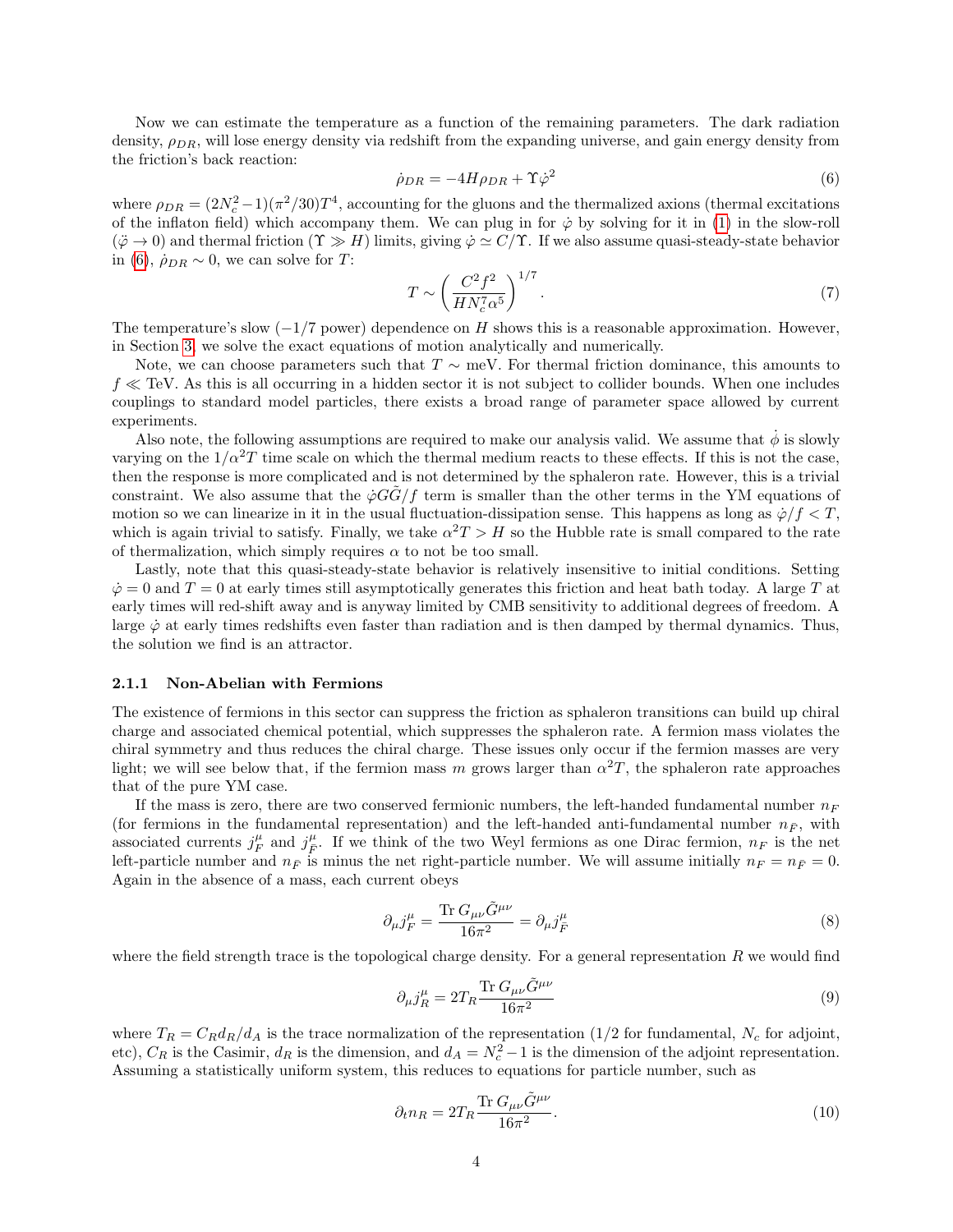Now we can estimate the temperature as a function of the remaining parameters. The dark radiation density,  $\rho_{DR}$ , will lose energy density via redshift from the expanding universe, and gain energy density from the friction's back reaction:

<span id="page-3-1"></span>
$$
\dot{\rho}_{DR} = -4H\rho_{DR} + \Upsilon \dot{\varphi}^2 \tag{6}
$$

where  $\rho_{DR} = (2N_c^2 - 1)(\pi^2/30)T^4$ , accounting for the gluons and the thermalized axions (thermal excitations of the inflaton field) which accompany them. We can plug in for  $\dot{\varphi}$  by solving for it in [\(1\)](#page-2-2) in the slow-roll  $(\ddot{\varphi} \to 0)$  and thermal friction  $(\Upsilon \gg H)$  limits, giving  $\dot{\varphi} \simeq C/\Upsilon$ . If we also assume quasi-steady-state behavior in [\(6\)](#page-3-1),  $\dot{\rho}_{DR} \sim 0$ , we can solve for T:

$$
T \sim \left(\frac{C^2 f^2}{H N_c^7 \alpha^5}\right)^{1/7}.\tag{7}
$$

The temperature's slow  $(-1/7$  power) dependence on H shows this is a reasonable approximation. However, in Section [3,](#page-6-0) we solve the exact equations of motion analytically and numerically.

Note, we can choose parameters such that  $T \sim meV$ . For thermal friction dominance, this amounts to  $f \ll \text{TeV}$ . As this is all occurring in a hidden sector it is not subject to collider bounds. When one includes couplings to standard model particles, there exists a broad range of parameter space allowed by current experiments.

Also note, the following assumptions are required to make our analysis valid. We assume that  $\dot{\phi}$  is slowly varying on the  $1/\alpha^2T$  time scale on which the thermal medium reacts to these effects. If this is not the case, then the response is more complicated and is not determined by the sphaleron rate. However, this is a trivial constraint. We also assume that the  $\dot{\varphi}GG/f$  term is smaller than the other terms in the YM equations of motion so we can linearize in it in the usual fluctuation-dissipation sense. This happens as long as  $\dot{\varphi}/f < T$ , which is again trivial to satisfy. Finally, we take  $\alpha^2 T > H$  so the Hubble rate is small compared to the rate of thermalization, which simply requires  $\alpha$  to not be too small.

Lastly, note that this quasi-steady-state behavior is relatively insensitive to initial conditions. Setting  $\dot{\varphi} = 0$  and  $T = 0$  at early times still asymptotically generates this friction and heat bath today. A large T at early times will red-shift away and is anyway limited by CMB sensitivity to additional degrees of freedom. A large  $\dot{\varphi}$  at early times redshifts even faster than radiation and is then damped by thermal dynamics. Thus, the solution we find is an attractor.

#### <span id="page-3-0"></span>2.1.1 Non-Abelian with Fermions

The existence of fermions in this sector can suppress the friction as sphaleron transitions can build up chiral charge and associated chemical potential, which suppresses the sphaleron rate. A fermion mass violates the chiral symmetry and thus reduces the chiral charge. These issues only occur if the fermion masses are very light; we will see below that, if the fermion mass m grows larger than  $\alpha^2 T$ , the sphaleron rate approaches that of the pure YM case.

If the mass is zero, there are two conserved fermionic numbers, the left-handed fundamental number  $n_F$ (for fermions in the fundamental representation) and the left-handed anti-fundamental number  $n_F$ , with associated currents  $j_F^{\mu}$  and  $j_F^{\mu}$ . If we think of the two Weyl fermions as one Dirac fermion,  $n_F$  is the net left-particle number and  $n_F$  is minus the net right-particle number. We will assume initially  $n_F = n_{\bar{F}} = 0$ . Again in the absence of a mass, each current obeys

$$
\partial_{\mu}j_{F}^{\mu} = \frac{\text{Tr} G_{\mu\nu}\tilde{G}^{\mu\nu}}{16\pi^{2}} = \partial_{\mu}j_{\bar{F}}^{\mu} \tag{8}
$$

where the field strength trace is the topological charge density. For a general representation  $R$  we would find

$$
\partial_{\mu}j_{R}^{\mu} = 2T_{R}\frac{\text{Tr} G_{\mu\nu}\tilde{G}^{\mu\nu}}{16\pi^{2}}\tag{9}
$$

where  $T_R = C_R d_R/d_A$  is the trace normalization of the representation (1/2 for fundamental,  $N_c$  for adjoint, etc),  $C_R$  is the Casimir,  $d_R$  is the dimension, and  $d_A = N_c^2 - 1$  is the dimension of the adjoint representation. Assuming a statistically uniform system, this reduces to equations for particle number, such as

<span id="page-3-2"></span>
$$
\partial_t n_R = 2T_R \frac{\text{Tr} G_{\mu\nu} \tilde{G}^{\mu\nu}}{16\pi^2}.
$$
\n(10)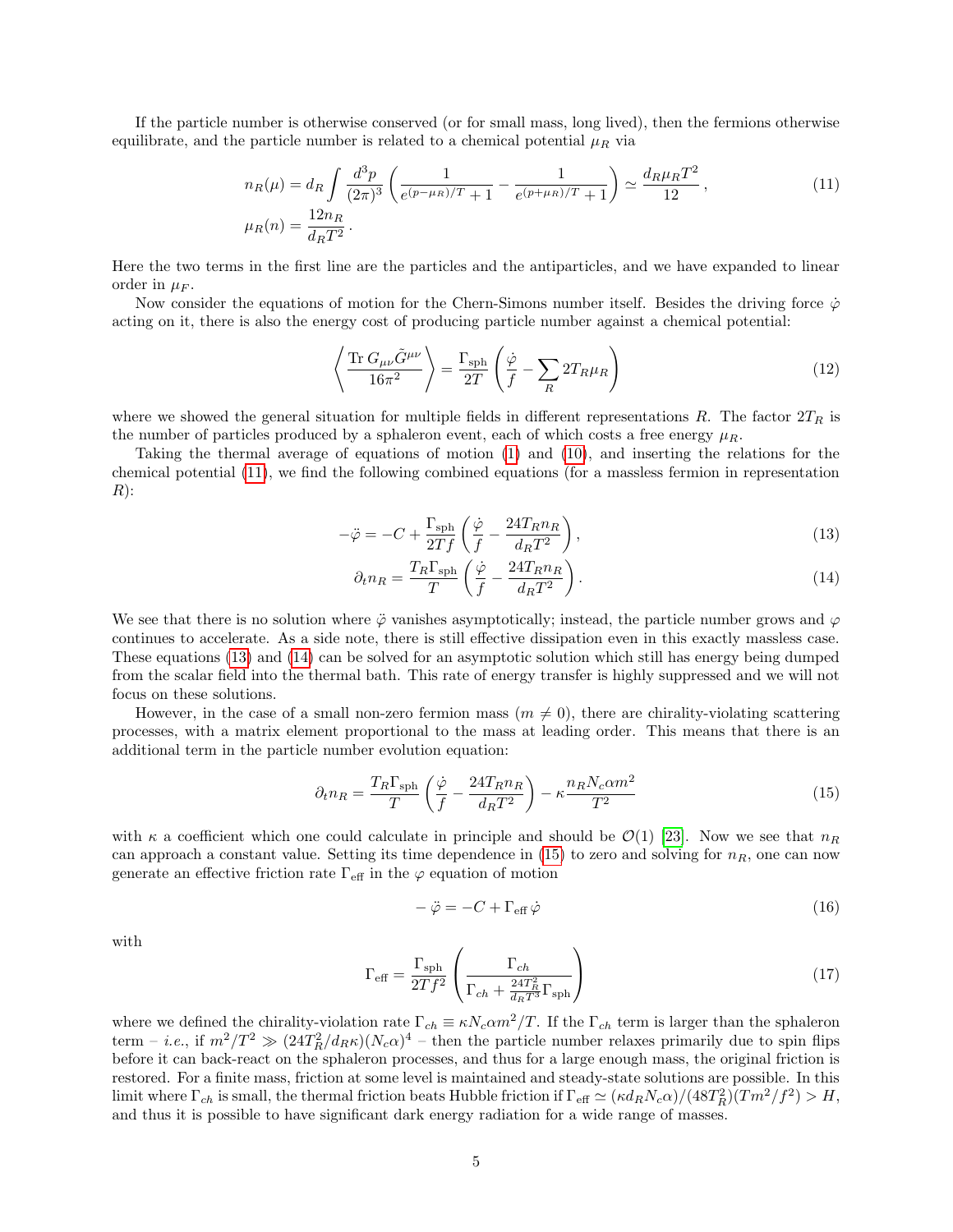If the particle number is otherwise conserved (or for small mass, long lived), then the fermions otherwise equilibrate, and the particle number is related to a chemical potential  $\mu_R$  via

$$
n_R(\mu) = d_R \int \frac{d^3 p}{(2\pi)^3} \left( \frac{1}{e^{(p-\mu_R)/T} + 1} - \frac{1}{e^{(p+\mu_R)/T} + 1} \right) \simeq \frac{d_R \mu_R T^2}{12},
$$
\n
$$
\mu_R(n) = \frac{12n_R}{d_R T^2}.
$$
\n(11)

Here the two terms in the first line are the particles and the antiparticles, and we have expanded to linear order in  $\mu_F$ .

Now consider the equations of motion for the Chern-Simons number itself. Besides the driving force  $\dot{\varphi}$ acting on it, there is also the energy cost of producing particle number against a chemical potential:

<span id="page-4-0"></span>
$$
\left\langle \frac{\text{Tr} \ G_{\mu\nu} \tilde{G}^{\mu\nu}}{16\pi^2} \right\rangle = \frac{\Gamma_{\text{sph}}}{2T} \left( \frac{\dot{\varphi}}{f} - \sum_R 2T_R \mu_R \right) \tag{12}
$$

where we showed the general situation for multiple fields in different representations R. The factor  $2T_R$  is the number of particles produced by a sphaleron event, each of which costs a free energy  $\mu_R$ .

Taking the thermal average of equations of motion [\(1\)](#page-2-2) and [\(10\)](#page-3-2), and inserting the relations for the chemical potential [\(11\)](#page-4-0), we find the following combined equations (for a massless fermion in representation  $R)$ :

<span id="page-4-1"></span>
$$
-\ddot{\varphi} = -C + \frac{\Gamma_{\rm sph}}{2Tf} \left( \frac{\dot{\varphi}}{f} - \frac{24T_R n_R}{d_R T^2} \right),\tag{13}
$$

$$
\partial_t n_R = \frac{T_R \Gamma_{\rm sph}}{T} \left( \frac{\dot{\varphi}}{f} - \frac{24T_R n_R}{d_R T^2} \right). \tag{14}
$$

We see that there is no solution where  $\ddot{\varphi}$  vanishes asymptotically; instead, the particle number grows and  $\varphi$ continues to accelerate. As a side note, there is still effective dissipation even in this exactly massless case. These equations [\(13\)](#page-4-1) and [\(14\)](#page-4-1) can be solved for an asymptotic solution which still has energy being dumped from the scalar field into the thermal bath. This rate of energy transfer is highly suppressed and we will not focus on these solutions.

However, in the case of a small non-zero fermion mass  $(m \neq 0)$ , there are chirality-violating scattering processes, with a matrix element proportional to the mass at leading order. This means that there is an additional term in the particle number evolution equation:

<span id="page-4-2"></span>
$$
\partial_t n_R = \frac{T_R \Gamma_{\rm sph}}{T} \left( \frac{\dot{\varphi}}{f} - \frac{24T_R n_R}{d_R T^2} \right) - \kappa \frac{n_R N_c \alpha m^2}{T^2} \tag{15}
$$

with  $\kappa$  a coefficient which one could calculate in principle and should be  $\mathcal{O}(1)$  [\[23\]](#page-10-12). Now we see that  $n_R$ can approach a constant value. Setting its time dependence in [\(15\)](#page-4-2) to zero and solving for  $n<sub>R</sub>$ , one can now generate an effective friction rate  $\Gamma_{\text{eff}}$  in the  $\varphi$  equation of motion

$$
-\ddot{\varphi} = -C + \Gamma_{\text{eff}} \dot{\varphi} \tag{16}
$$

with

$$
\Gamma_{\text{eff}} = \frac{\Gamma_{\text{sph}}}{2Tf^2} \left( \frac{\Gamma_{ch}}{\Gamma_{ch} + \frac{24T_R^2}{d_R T^3} \Gamma_{\text{sph}}} \right)
$$
\n(17)

where we defined the chirality-violation rate  $\Gamma_{ch} \equiv \kappa N_c \alpha m^2/T$ . If the  $\Gamma_{ch}$  term is larger than the sphaleron term – *i.e.*, if  $m^2/T^2 \gg (24T_R^2/d_R\kappa)(N_c\alpha)^4$  – then the particle number relaxes primarily due to spin flips before it can back-react on the sphaleron processes, and thus for a large enough mass, the original friction is restored. For a finite mass, friction at some level is maintained and steady-state solutions are possible. In this limit where  $\Gamma_{ch}$  is small, the thermal friction beats Hubble friction if  $\Gamma_{\text{eff}} \simeq (\kappa d_R N_c \alpha)/(48T_R^2)(Tm^2/f^2) > H$ , and thus it is possible to have significant dark energy radiation for a wide range of masses.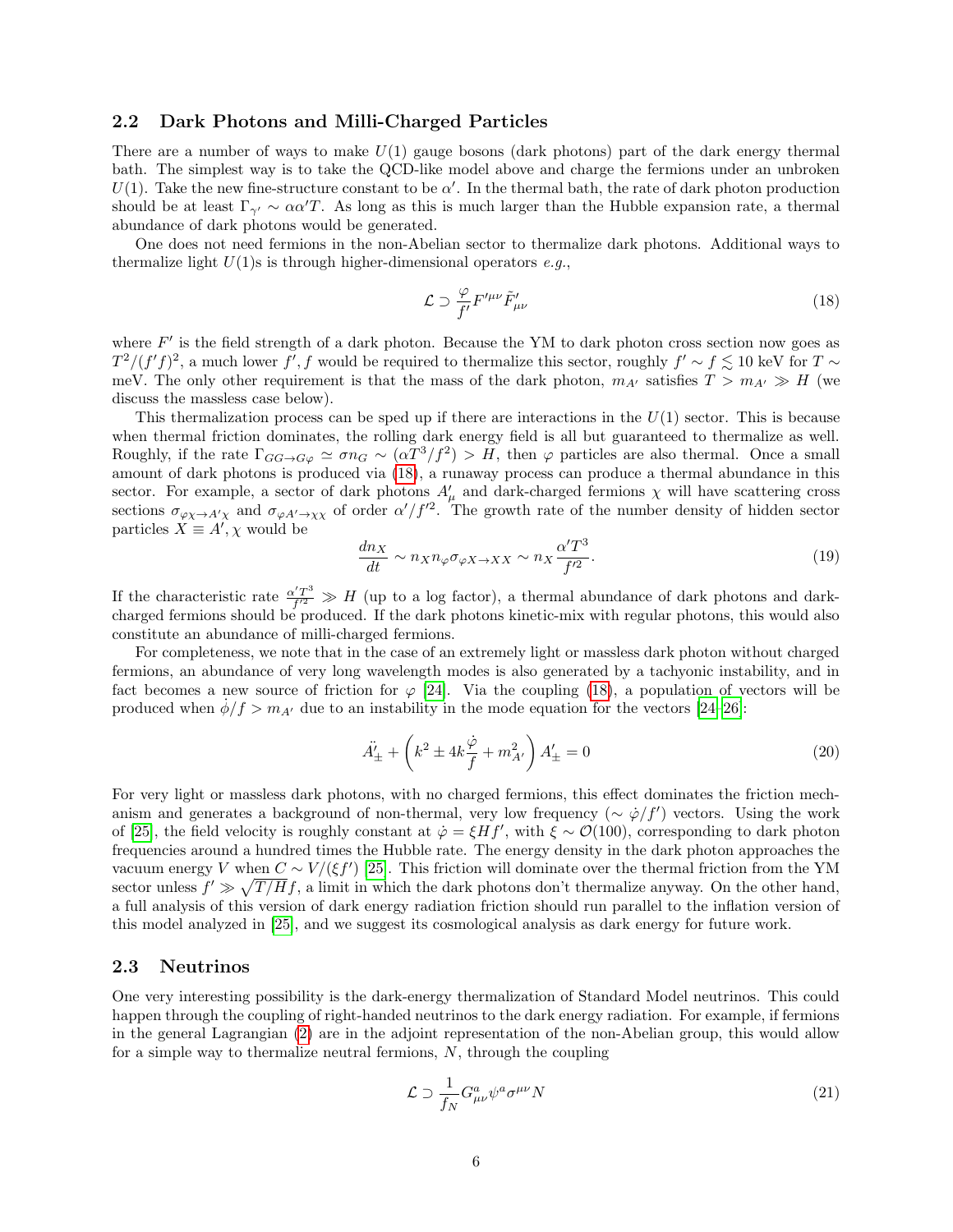### <span id="page-5-0"></span>2.2 Dark Photons and Milli-Charged Particles

There are a number of ways to make  $U(1)$  gauge bosons (dark photons) part of the dark energy thermal bath. The simplest way is to take the QCD-like model above and charge the fermions under an unbroken  $U(1)$ . Take the new fine-structure constant to be  $\alpha'$ . In the thermal bath, the rate of dark photon production should be at least  $\Gamma_{\gamma'} \sim \alpha \alpha' T$ . As long as this is much larger than the Hubble expansion rate, a thermal abundance of dark photons would be generated.

One does not need fermions in the non-Abelian sector to thermalize dark photons. Additional ways to thermalize light  $U(1)$ s is through higher-dimensional operators e.g.,

<span id="page-5-2"></span>
$$
\mathcal{L} \supset \frac{\varphi}{f'} F'^{\mu\nu} \tilde{F}'_{\mu\nu} \tag{18}
$$

where  $F'$  is the field strength of a dark photon. Because the YM to dark photon cross section now goes as  $T^2/(f'f)^2$ , a much lower f', f would be required to thermalize this sector, roughly  $f' \sim f \lesssim 10$  keV for  $T \sim$ meV. The only other requirement is that the mass of the dark photon,  $m_{A'}$  satisfies  $T > m_{A'} \gg H$  (we discuss the massless case below).

This thermalization process can be sped up if there are interactions in the  $U(1)$  sector. This is because when thermal friction dominates, the rolling dark energy field is all but guaranteed to thermalize as well. Roughly, if the rate  $\Gamma_{GG\to G\varphi} \simeq \sigma n_G \sim (\alpha T^3/f^2) > H$ , then  $\varphi$  particles are also thermal. Once a small amount of dark photons is produced via [\(18\)](#page-5-2), a runaway process can produce a thermal abundance in this sector. For example, a sector of dark photons  $A'_{\mu}$  and dark-charged fermions  $\chi$  will have scattering cross sections  $\sigma_{\varphi\chi\to A'\chi}$  and  $\sigma_{\varphi A'\to\chi\chi}$  of order  $\alpha'/f'^2$ . The growth rate of the number density of hidden sector particles  $X \equiv A', \chi$  would be

$$
\frac{dn_X}{dt} \sim n_X n_\varphi \sigma_{\varphi X \to XX} \sim n_X \frac{\alpha' T^3}{f'^2}.
$$
\n(19)

If the characteristic rate  $\frac{\alpha' T^3}{f'^2}$  $\frac{f^{(T)}(T)}{f^{(2)}} \gg H$  (up to a log factor), a thermal abundance of dark photons and darkcharged fermions should be produced. If the dark photons kinetic-mix with regular photons, this would also constitute an abundance of milli-charged fermions.

For completeness, we note that in the case of an extremely light or massless dark photon without charged fermions, an abundance of very long wavelength modes is also generated by a tachyonic instability, and in fact becomes a new source of friction for  $\varphi$  [\[24\]](#page-10-13). Via the coupling [\(18\)](#page-5-2), a population of vectors will be produced when  $\dot{\phi}/f > m_{A'}$  due to an instability in the mode equation for the vectors [\[24–](#page-10-13)[26\]](#page-11-0):

$$
\ddot{A}'_{\pm} + \left(k^2 \pm 4k \frac{\dot{\varphi}}{f} + m_{A'}^2\right) A'_{\pm} = 0
$$
\n(20)

For very light or massless dark photons, with no charged fermions, this effect dominates the friction mechanism and generates a background of non-thermal, very low frequency ( $\sim \dot{\varphi}/f'$ ) vectors. Using the work of [\[25\]](#page-11-1), the field velocity is roughly constant at  $\dot{\varphi} = \xi H f'$ , with  $\xi \sim \mathcal{O}(100)$ , corresponding to dark photon frequencies around a hundred times the Hubble rate. The energy density in the dark photon approaches the vacuum energy V when  $C \sim V/(\xi f')$  [\[25\]](#page-11-1). This friction will dominate over the thermal friction from the YM sector unless  $f' \gg \sqrt{T/H}f$ , a limit in which the dark photons don't thermalize anyway. On the other hand, a full analysis of this version of dark energy radiation friction should run parallel to the inflation version of this model analyzed in [\[25\]](#page-11-1), and we suggest its cosmological analysis as dark energy for future work.

### <span id="page-5-1"></span>2.3 Neutrinos

One very interesting possibility is the dark-energy thermalization of Standard Model neutrinos. This could happen through the coupling of right-handed neutrinos to the dark energy radiation. For example, if fermions in the general Lagrangian [\(2\)](#page-2-3) are in the adjoint representation of the non-Abelian group, this would allow for a simple way to thermalize neutral fermions,  $N$ , through the coupling

$$
\mathcal{L} \supset \frac{1}{f_N} G^a_{\mu\nu} \psi^a \sigma^{\mu\nu} N \tag{21}
$$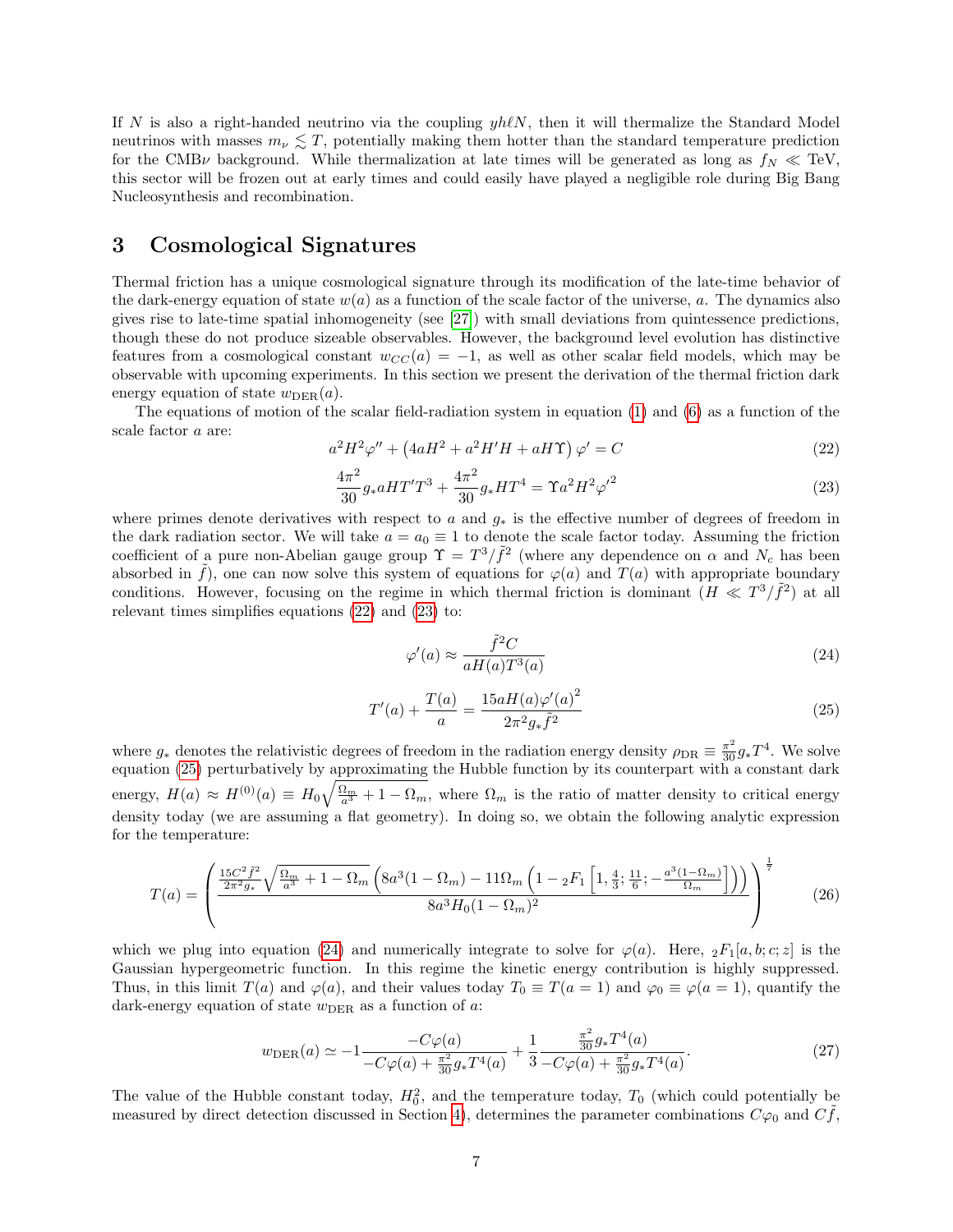If N is also a right-handed neutrino via the coupling  $yh\ell N$ , then it will thermalize the Standard Model neutrinos with masses  $m_{\nu} \lesssim T$ , potentially making them hotter than the standard temperature prediction for the CMB<sub>V</sub> background. While thermalization at late times will be generated as long as  $f_N \ll T$ eV, this sector will be frozen out at early times and could easily have played a negligible role during Big Bang Nucleosynthesis and recombination.

### <span id="page-6-0"></span>3 Cosmological Signatures

Thermal friction has a unique cosmological signature through its modification of the late-time behavior of the dark-energy equation of state  $w(a)$  as a function of the scale factor of the universe, a. The dynamics also gives rise to late-time spatial inhomogeneity (see [\[27\]](#page-11-2)) with small deviations from quintessence predictions, though these do not produce sizeable observables. However, the background level evolution has distinctive features from a cosmological constant  $w_{CC}(a) = -1$ , as well as other scalar field models, which may be observable with upcoming experiments. In this section we present the derivation of the thermal friction dark energy equation of state  $w<sub>DER</sub>(a)$ .

The equations of motion of the scalar field-radiation system in equation [\(1\)](#page-2-2) and [\(6\)](#page-3-1) as a function of the scale factor a are:

<span id="page-6-1"></span>
$$
a2H2\varphi'' + (4aH2 + a2H'H + aHT)\varphi' = C
$$
\n(22)

<span id="page-6-2"></span>
$$
\frac{4\pi^2}{30}g_* aHT'T^3 + \frac{4\pi^2}{30}g_* HT^4 = \Upsilon a^2 H^2 {\varphi'}^2
$$
\n(23)

where primes denote derivatives with respect to a and  $g_*$  is the effective number of degrees of freedom in the dark radiation sector. We will take  $a = a_0 \equiv 1$  to denote the scale factor today. Assuming the friction coefficient of a pure non-Abelian gauge group  $\Upsilon = T^3/\tilde{f}^2$  (where any dependence on  $\alpha$  and  $N_c$  has been absorbed in  $\tilde{f}$ ), one can now solve this system of equations for  $\varphi(a)$  and  $T(a)$  with appropriate boundary conditions. However, focusing on the regime in which thermal friction is dominant  $(H \ll T^3/\tilde{f}^2)$  at all relevant times simplifies equations [\(22\)](#page-6-1) and [\(23\)](#page-6-2) to:

<span id="page-6-4"></span>
$$
\varphi'(a) \approx \frac{\tilde{f}^2 C}{a H(a) T^3(a)}\tag{24}
$$

<span id="page-6-3"></span>
$$
T'(a) + \frac{T(a)}{a} = \frac{15aH(a)\varphi'(a)^2}{2\pi^2 g_* \tilde{f}^2}
$$
\n(25)

where  $g_*$  denotes the relativistic degrees of freedom in the radiation energy density  $\rho_{\rm DR} \equiv \frac{\pi^2}{30} g_* T^4$ . We solve equation [\(25\)](#page-6-3) perturbatively by approximating the Hubble function by its counterpart with a constant dark energy,  $H(a) \approx H^{(0)}(a) \equiv H_0 \sqrt{\frac{\Omega_m}{a^3} + 1 - \Omega_m}$ , where  $\Omega_m$  is the ratio of matter density to critical energy density today (we are assuming a flat geometry). In doing so, we obtain the following analytic expression for the temperature:

<span id="page-6-5"></span>
$$
T(a) = \left(\frac{\frac{15C^2\tilde{f}^2}{2\pi^2 g_*} \sqrt{\frac{\Omega_m}{a^3} + 1 - \Omega_m} \left(8a^3(1 - \Omega_m) - 11\Omega_m \left(1 - {}_2F_1\left[1, \frac{4}{3}; \frac{11}{6}; -\frac{a^3(1 - \Omega_m)}{\Omega_m}\right]\right)\right)}{8a^3 H_0 (1 - \Omega_m)^2}\right)^{\frac{1}{7}}
$$
(26)

which we plug into equation [\(24\)](#page-6-4) and numerically integrate to solve for  $\varphi(a)$ . Here,  ${}_2F_1[a, b; c; z]$  is the Gaussian hypergeometric function. In this regime the kinetic energy contribution is highly suppressed. Thus, in this limit  $T(a)$  and  $\varphi(a)$ , and their values today  $T_0 \equiv T(a = 1)$  and  $\varphi_0 \equiv \varphi(a = 1)$ , quantify the dark-energy equation of state  $w<sub>DER</sub>$  as a function of a:

$$
w_{\text{DER}}(a) \simeq -1 \frac{-C\varphi(a)}{-C\varphi(a) + \frac{\pi^2}{30}g_*T^4(a)} + \frac{1}{3} \frac{\frac{\pi^2}{30}g_*T^4(a)}{-C\varphi(a) + \frac{\pi^2}{30}g_*T^4(a)}.
$$
\n(27)

The value of the Hubble constant today,  $H_0^2$ , and the temperature today,  $T_0$  (which could potentially be measured by direct detection discussed in Section [4\)](#page-8-0), determines the parameter combinations  $C\varphi_0$  and  $C f$ ,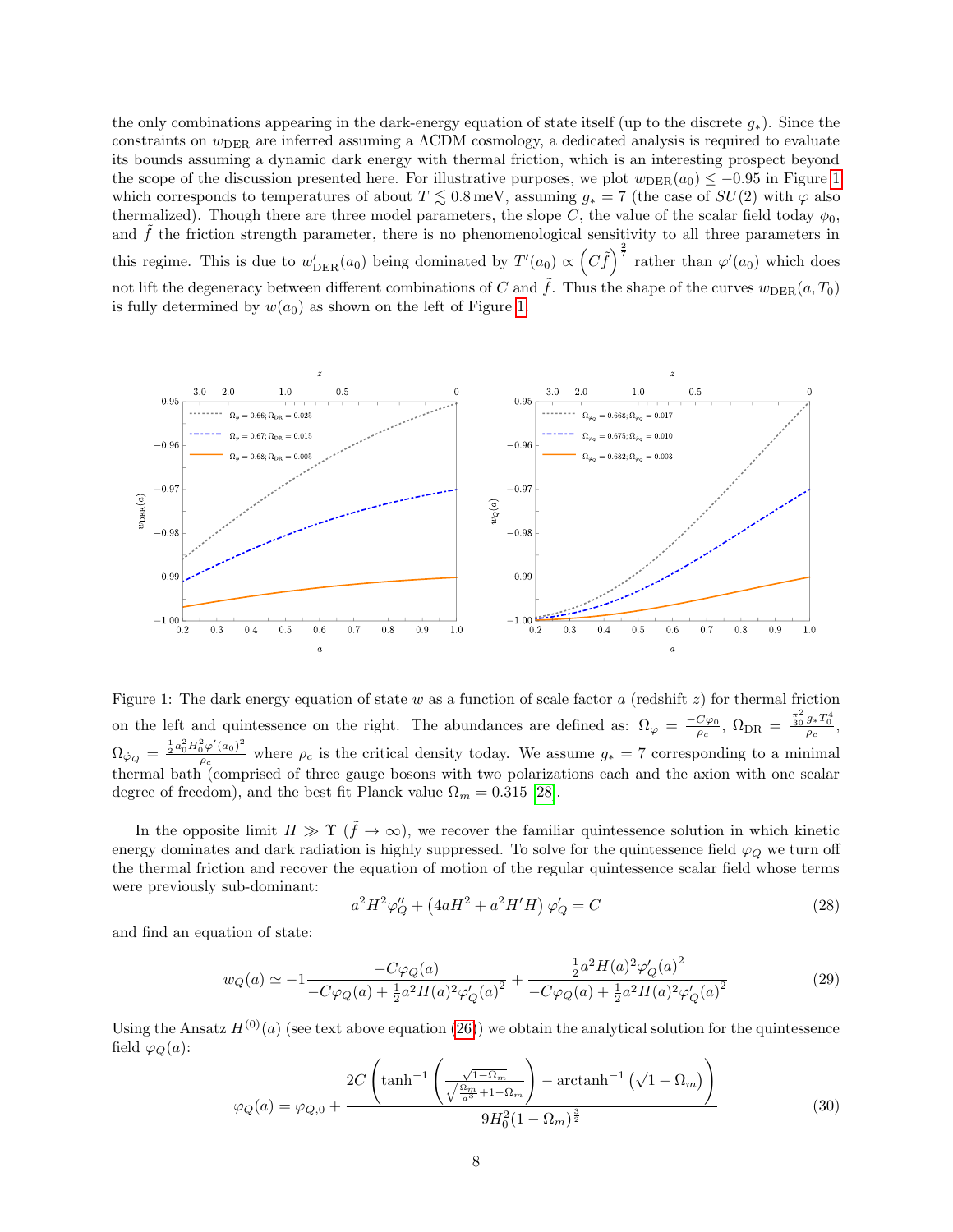the only combinations appearing in the dark-energy equation of state itself (up to the discrete  $q_*$ ). Since the constraints on  $w<sub>DER</sub>$  are inferred assuming a  $\Lambda$ CDM cosmology, a dedicated analysis is required to evaluate its bounds assuming a dynamic dark energy with thermal friction, which is an interesting prospect beyond the scope of the discussion presented here. For illustrative purposes, we plot  $w_{\text{DER}}(a_0) \leq -0.95$  in Figure [1](#page-7-0) which corresponds to temperatures of about  $T \lesssim 0.8 \,\text{meV}$ , assuming  $g_* = 7$  (the case of  $SU(2)$  with  $\varphi$  also thermalized). Though there are three model parameters, the slope C, the value of the scalar field today  $\phi_0$ , and  $\tilde{f}$  the friction strength parameter, there is no phenomenological sensitivity to all three parameters in this regime. This is due to  $w'_{\text{DER}}(a_0)$  being dominated by  $T'(a_0) \propto (C\tilde{f})^{\frac{2}{7}}$  rather than  $\varphi'(a_0)$  which does not lift the degeneracy between different combinations of C and  $\tilde{f}$ . Thus the shape of the curves  $w_{\text{DER}}(a, T_0)$ is fully determined by  $w(a_0)$  as shown on the left of Figure [1.](#page-7-0)

<span id="page-7-0"></span>

Figure 1: The dark energy equation of state w as a function of scale factor a (redshift  $z$ ) for thermal friction on the left and quintessence on the right. The abundances are defined as:  $\Omega_{\varphi} = \frac{-C\varphi_0}{\rho_c}$ ,  $\Omega_{\text{DR}} = \frac{\frac{\pi^2}{30}g_*T_0^4}{\rho_c}$ ,  $\Omega_{\dot{\varphi}_Q} = \frac{\frac{1}{2} a_0^2 H_0^2 \varphi'(a_0)^2}{\varrho_c}$  $p_c \frac{\partial \varphi(a_0)}{\partial c}$  where  $\rho_c$  is the critical density today. We assume  $g_* = 7$  corresponding to a minimal thermal bath (comprised of three gauge bosons with two polarizations each and the axion with one scalar degree of freedom), and the best fit Planck value  $\Omega_m = 0.315$  [\[28\]](#page-11-3).

In the opposite limit  $H \gg \Upsilon (\tilde{f} \to \infty)$ , we recover the familiar quintessence solution in which kinetic energy dominates and dark radiation is highly suppressed. To solve for the quintessence field  $\varphi$ <sub>O</sub> we turn off the thermal friction and recover the equation of motion of the regular quintessence scalar field whose terms were previously sub-dominant:

$$
a^{2}H^{2}\varphi_{Q}'' + (4aH^{2} + a^{2}H'H) \varphi_{Q}' = C
$$
\n(28)

and find an equation of state:

$$
w_Q(a) \simeq -1 \frac{-C\varphi_Q(a)}{-C\varphi_Q(a) + \frac{1}{2}a^2 H(a)^2 \varphi'_Q(a)^2} + \frac{\frac{1}{2}a^2 H(a)^2 \varphi'_Q(a)^2}{-C\varphi_Q(a) + \frac{1}{2}a^2 H(a)^2 \varphi'_Q(a)^2}
$$
(29)

Using the Ansatz  $H^{(0)}(a)$  (see text above equation [\(26\)](#page-6-5)) we obtain the analytical solution for the quintessence field  $\varphi_O(a)$ :

$$
\varphi_Q(a) = \varphi_{Q,0} + \frac{2C\left(\tanh^{-1}\left(\frac{\sqrt{1-\Omega_m}}{\sqrt{\frac{\Omega_m}{a^3}+1-\Omega_m}}\right) - \operatorname{arctanh}^{-1}\left(\sqrt{1-\Omega_m}\right)\right)}{9H_0^2(1-\Omega_m)^{\frac{3}{2}}}
$$
(30)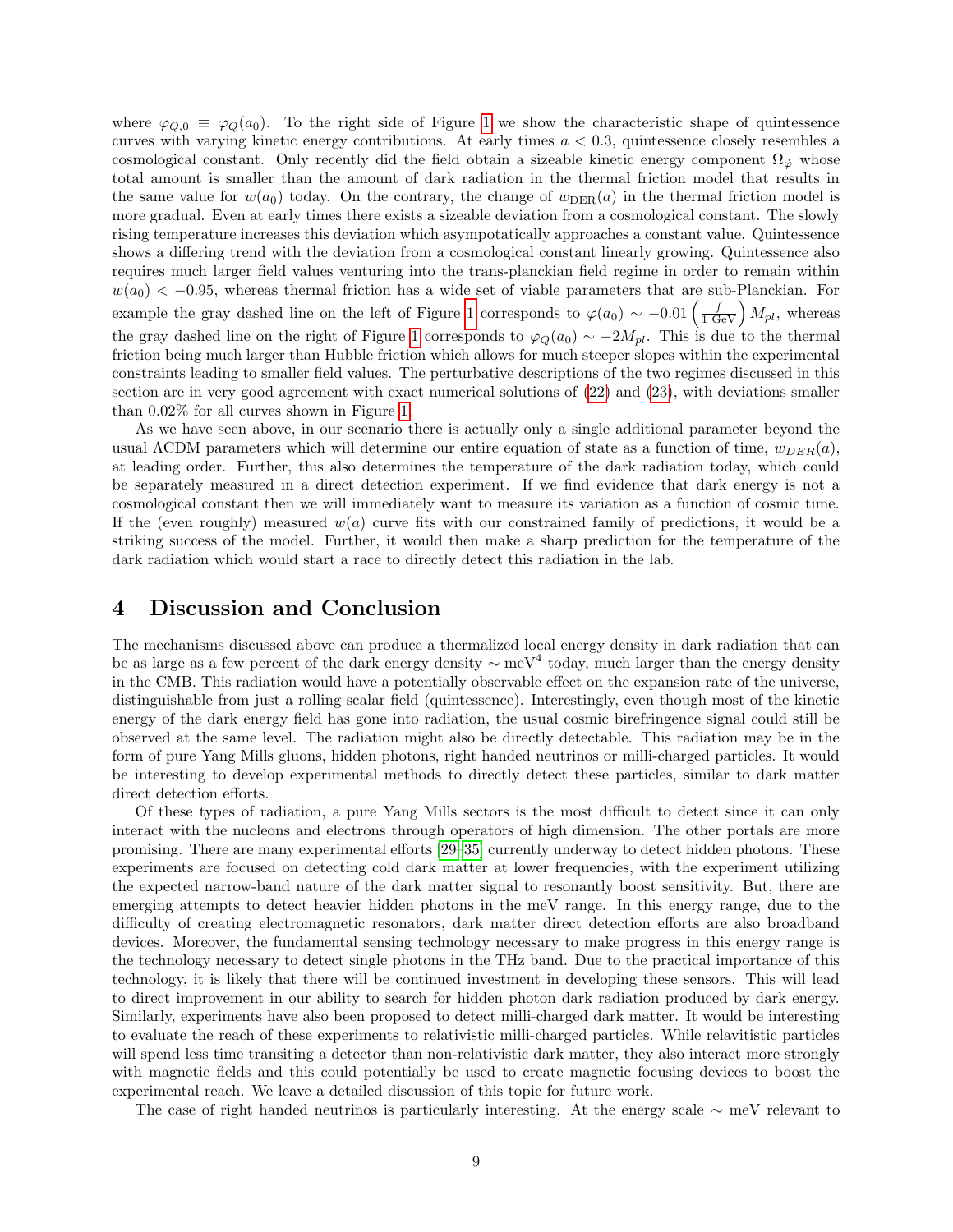where  $\varphi_{Q,0} \equiv \varphi_Q(a_0)$ . To the right side of Figure [1](#page-7-0) we show the characteristic shape of quintessence curves with varying kinetic energy contributions. At early times  $a < 0.3$ , quintessence closely resembles a cosmological constant. Only recently did the field obtain a sizeable kinetic energy component  $\Omega_{\phi}$  whose total amount is smaller than the amount of dark radiation in the thermal friction model that results in the same value for  $w(a_0)$  today. On the contrary, the change of  $w_{DER}(a)$  in the thermal friction model is more gradual. Even at early times there exists a sizeable deviation from a cosmological constant. The slowly rising temperature increases this deviation which asympotatically approaches a constant value. Quintessence shows a differing trend with the deviation from a cosmological constant linearly growing. Quintessence also requires much larger field values venturing into the trans-planckian field regime in order to remain within  $w(a_0) < -0.95$ , whereas thermal friction has a wide set of viable parameters that are sub-Planckian. For example the gray dashed line on the left of Figure [1](#page-7-0) corresponds to  $\varphi(a_0) \sim -0.01 \left(\frac{\tilde{f}}{1 \text{ GeV}}\right) M_{pl}$ , whereas the gray dashed line on the right of Figure [1](#page-7-0) corresponds to  $\varphi_Q(a_0) \sim -2M_{pl}$ . This is due to the thermal friction being much larger than Hubble friction which allows for much steeper slopes within the experimental constraints leading to smaller field values. The perturbative descriptions of the two regimes discussed in this section are in very good agreement with exact numerical solutions of [\(22\)](#page-6-1) and [\(23\)](#page-6-2), with deviations smaller than 0.02% for all curves shown in Figure [1.](#page-7-0)

As we have seen above, in our scenario there is actually only a single additional parameter beyond the usual  $\Lambda$ CDM parameters which will determine our entire equation of state as a function of time,  $w_{DER}(a)$ , at leading order. Further, this also determines the temperature of the dark radiation today, which could be separately measured in a direct detection experiment. If we find evidence that dark energy is not a cosmological constant then we will immediately want to measure its variation as a function of cosmic time. If the (even roughly) measured  $w(a)$  curve fits with our constrained family of predictions, it would be a striking success of the model. Further, it would then make a sharp prediction for the temperature of the dark radiation which would start a race to directly detect this radiation in the lab.

## <span id="page-8-0"></span>4 Discussion and Conclusion

The mechanisms discussed above can produce a thermalized local energy density in dark radiation that can be as large as a few percent of the dark energy density  $\sim$  meV<sup>4</sup> today, much larger than the energy density in the CMB. This radiation would have a potentially observable effect on the expansion rate of the universe, distinguishable from just a rolling scalar field (quintessence). Interestingly, even though most of the kinetic energy of the dark energy field has gone into radiation, the usual cosmic birefringence signal could still be observed at the same level. The radiation might also be directly detectable. This radiation may be in the form of pure Yang Mills gluons, hidden photons, right handed neutrinos or milli-charged particles. It would be interesting to develop experimental methods to directly detect these particles, similar to dark matter direct detection efforts.

Of these types of radiation, a pure Yang Mills sectors is the most difficult to detect since it can only interact with the nucleons and electrons through operators of high dimension. The other portals are more promising. There are many experimental efforts [\[29](#page-11-4)[–35\]](#page-11-5) currently underway to detect hidden photons. These experiments are focused on detecting cold dark matter at lower frequencies, with the experiment utilizing the expected narrow-band nature of the dark matter signal to resonantly boost sensitivity. But, there are emerging attempts to detect heavier hidden photons in the meV range. In this energy range, due to the difficulty of creating electromagnetic resonators, dark matter direct detection efforts are also broadband devices. Moreover, the fundamental sensing technology necessary to make progress in this energy range is the technology necessary to detect single photons in the THz band. Due to the practical importance of this technology, it is likely that there will be continued investment in developing these sensors. This will lead to direct improvement in our ability to search for hidden photon dark radiation produced by dark energy. Similarly, experiments have also been proposed to detect milli-charged dark matter. It would be interesting to evaluate the reach of these experiments to relativistic milli-charged particles. While relavitistic particles will spend less time transiting a detector than non-relativistic dark matter, they also interact more strongly with magnetic fields and this could potentially be used to create magnetic focusing devices to boost the experimental reach. We leave a detailed discussion of this topic for future work.

The case of right handed neutrinos is particularly interesting. At the energy scale ∼ meV relevant to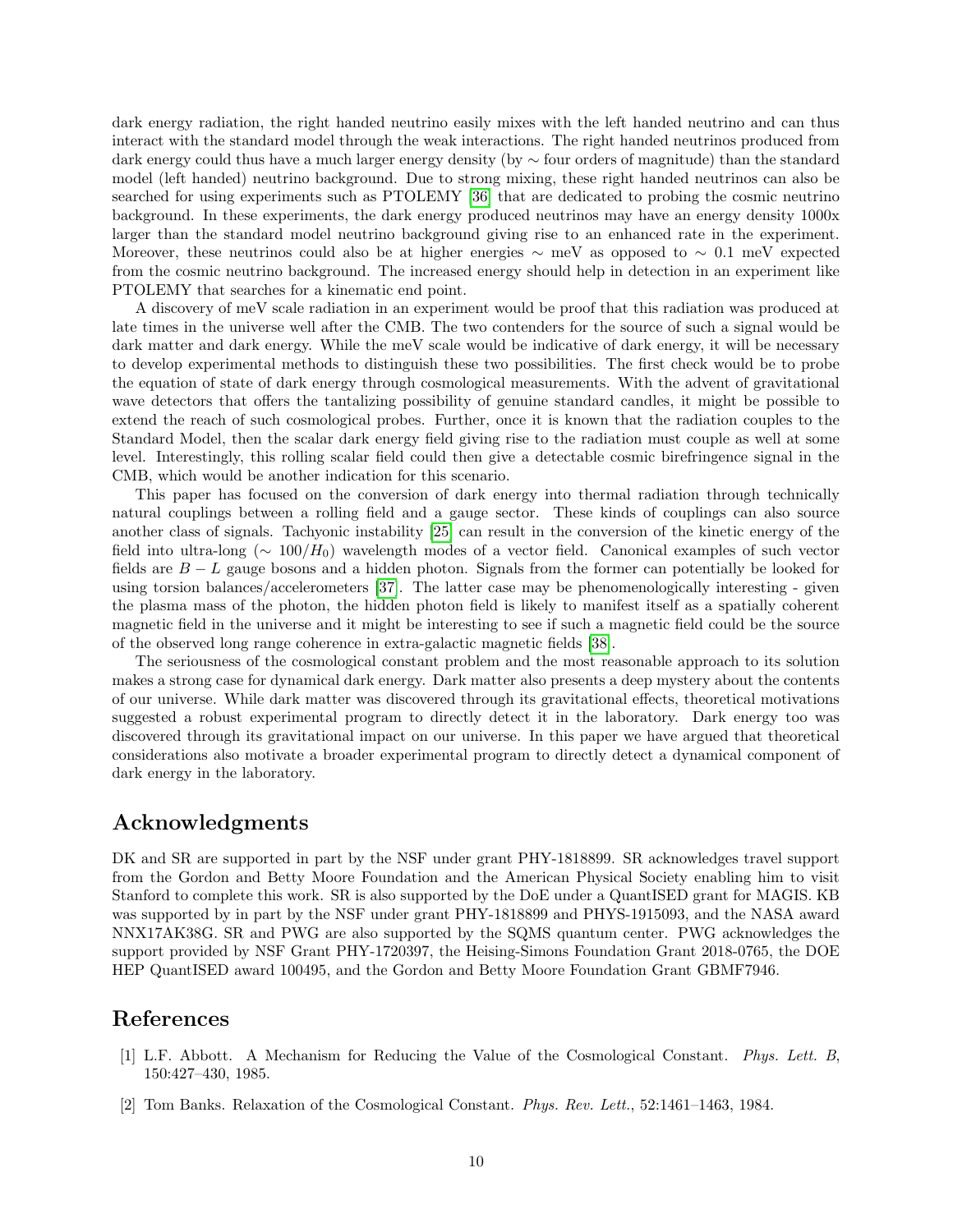dark energy radiation, the right handed neutrino easily mixes with the left handed neutrino and can thus interact with the standard model through the weak interactions. The right handed neutrinos produced from dark energy could thus have a much larger energy density (by ∼ four orders of magnitude) than the standard model (left handed) neutrino background. Due to strong mixing, these right handed neutrinos can also be searched for using experiments such as PTOLEMY [\[36\]](#page-11-6) that are dedicated to probing the cosmic neutrino background. In these experiments, the dark energy produced neutrinos may have an energy density 1000x larger than the standard model neutrino background giving rise to an enhanced rate in the experiment. Moreover, these neutrinos could also be at higher energies  $\sim$  meV as opposed to  $\sim$  0.1 meV expected from the cosmic neutrino background. The increased energy should help in detection in an experiment like PTOLEMY that searches for a kinematic end point.

A discovery of meV scale radiation in an experiment would be proof that this radiation was produced at late times in the universe well after the CMB. The two contenders for the source of such a signal would be dark matter and dark energy. While the meV scale would be indicative of dark energy, it will be necessary to develop experimental methods to distinguish these two possibilities. The first check would be to probe the equation of state of dark energy through cosmological measurements. With the advent of gravitational wave detectors that offers the tantalizing possibility of genuine standard candles, it might be possible to extend the reach of such cosmological probes. Further, once it is known that the radiation couples to the Standard Model, then the scalar dark energy field giving rise to the radiation must couple as well at some level. Interestingly, this rolling scalar field could then give a detectable cosmic birefringence signal in the CMB, which would be another indication for this scenario.

This paper has focused on the conversion of dark energy into thermal radiation through technically natural couplings between a rolling field and a gauge sector. These kinds of couplings can also source another class of signals. Tachyonic instability [\[25\]](#page-11-1) can result in the conversion of the kinetic energy of the field into ultra-long ( $\sim 100/H_0$ ) wavelength modes of a vector field. Canonical examples of such vector fields are  $B - L$  gauge bosons and a hidden photon. Signals from the former can potentially be looked for using torsion balances/accelerometers [\[37\]](#page-11-7). The latter case may be phenomenologically interesting - given the plasma mass of the photon, the hidden photon field is likely to manifest itself as a spatially coherent magnetic field in the universe and it might be interesting to see if such a magnetic field could be the source of the observed long range coherence in extra-galactic magnetic fields [\[38\]](#page-11-8).

The seriousness of the cosmological constant problem and the most reasonable approach to its solution makes a strong case for dynamical dark energy. Dark matter also presents a deep mystery about the contents of our universe. While dark matter was discovered through its gravitational effects, theoretical motivations suggested a robust experimental program to directly detect it in the laboratory. Dark energy too was discovered through its gravitational impact on our universe. In this paper we have argued that theoretical considerations also motivate a broader experimental program to directly detect a dynamical component of dark energy in the laboratory.

### Acknowledgments

DK and SR are supported in part by the NSF under grant PHY-1818899. SR acknowledges travel support from the Gordon and Betty Moore Foundation and the American Physical Society enabling him to visit Stanford to complete this work. SR is also supported by the DoE under a QuantISED grant for MAGIS. KB was supported by in part by the NSF under grant PHY-1818899 and PHYS-1915093, and the NASA award NNX17AK38G. SR and PWG are also supported by the SQMS quantum center. PWG acknowledges the support provided by NSF Grant PHY-1720397, the Heising-Simons Foundation Grant 2018-0765, the DOE HEP QuantISED award 100495, and the Gordon and Betty Moore Foundation Grant GBMF7946.

## References

- <span id="page-9-0"></span>[1] L.F. Abbott. A Mechanism for Reducing the Value of the Cosmological Constant. Phys. Lett. B, 150:427–430, 1985.
- [2] Tom Banks. Relaxation of the Cosmological Constant. Phys. Rev. Lett., 52:1461–1463, 1984.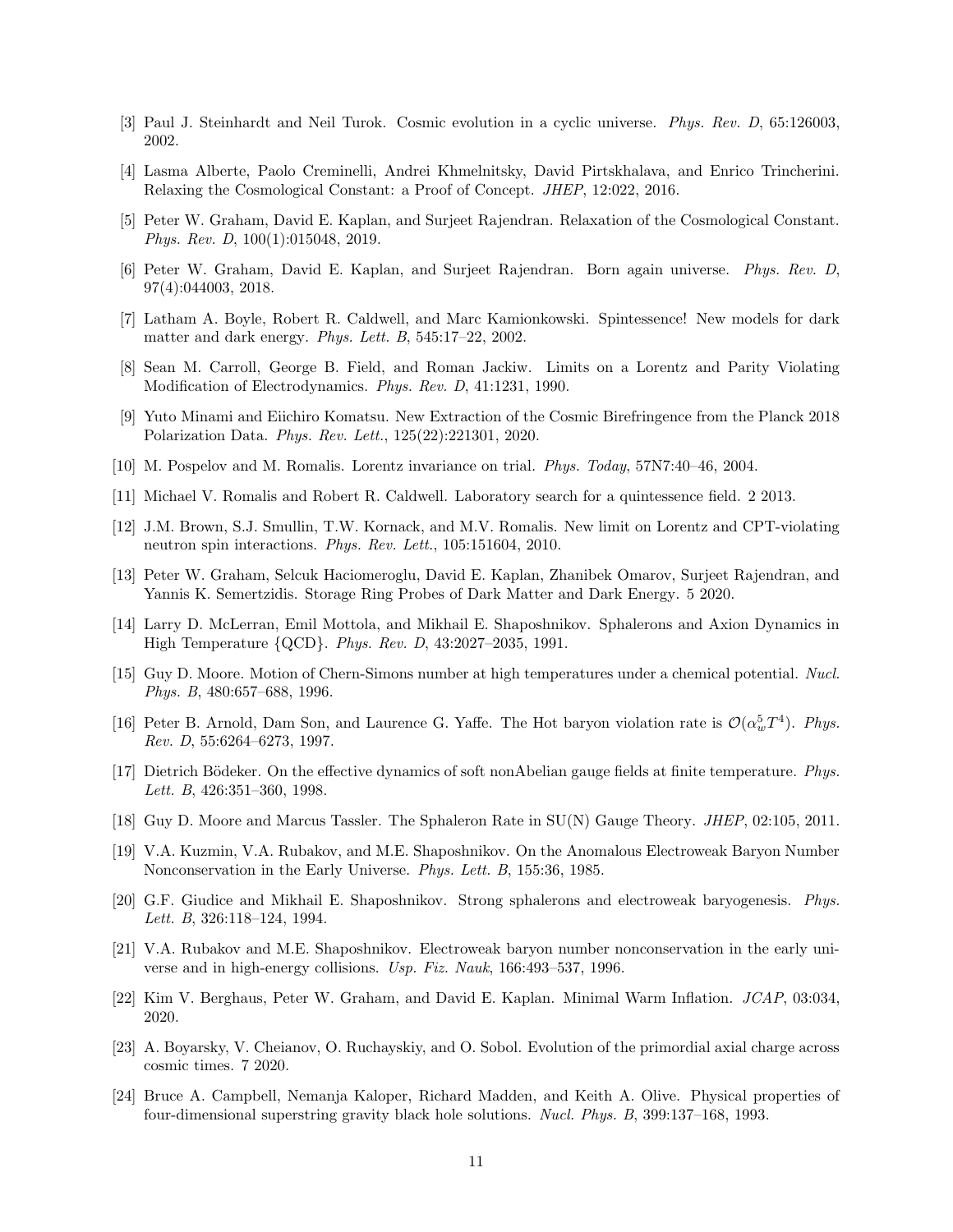- [3] Paul J. Steinhardt and Neil Turok. Cosmic evolution in a cyclic universe. Phys. Rev. D, 65:126003, 2002.
- [4] Lasma Alberte, Paolo Creminelli, Andrei Khmelnitsky, David Pirtskhalava, and Enrico Trincherini. Relaxing the Cosmological Constant: a Proof of Concept. JHEP, 12:022, 2016.
- [5] Peter W. Graham, David E. Kaplan, and Surjeet Rajendran. Relaxation of the Cosmological Constant. Phys. Rev. D, 100(1):015048, 2019.
- <span id="page-10-0"></span>[6] Peter W. Graham, David E. Kaplan, and Surjeet Rajendran. Born again universe. Phys. Rev. D, 97(4):044003, 2018.
- <span id="page-10-1"></span>[7] Latham A. Boyle, Robert R. Caldwell, and Marc Kamionkowski. Spintessence! New models for dark matter and dark energy. Phys. Lett. B, 545:17–22, 2002.
- [8] Sean M. Carroll, George B. Field, and Roman Jackiw. Limits on a Lorentz and Parity Violating Modification of Electrodynamics. Phys. Rev. D, 41:1231, 1990.
- <span id="page-10-2"></span>[9] Yuto Minami and Eiichiro Komatsu. New Extraction of the Cosmic Birefringence from the Planck 2018 Polarization Data. Phys. Rev. Lett., 125(22):221301, 2020.
- <span id="page-10-3"></span>[10] M. Pospelov and M. Romalis. Lorentz invariance on trial. Phys. Today, 57N7:40–46, 2004.
- [11] Michael V. Romalis and Robert R. Caldwell. Laboratory search for a quintessence field. 2 2013.
- [12] J.M. Brown, S.J. Smullin, T.W. Kornack, and M.V. Romalis. New limit on Lorentz and CPT-violating neutron spin interactions. Phys. Rev. Lett., 105:151604, 2010.
- <span id="page-10-4"></span>[13] Peter W. Graham, Selcuk Haciomeroglu, David E. Kaplan, Zhanibek Omarov, Surjeet Rajendran, and Yannis K. Semertzidis. Storage Ring Probes of Dark Matter and Dark Energy. 5 2020.
- <span id="page-10-5"></span>[14] Larry D. McLerran, Emil Mottola, and Mikhail E. Shaposhnikov. Sphalerons and Axion Dynamics in High Temperature {QCD}. Phys. Rev. D, 43:2027–2035, 1991.
- <span id="page-10-6"></span>[15] Guy D. Moore. Motion of Chern-Simons number at high temperatures under a chemical potential. Nucl. Phys. B, 480:657–688, 1996.
- <span id="page-10-7"></span>[16] Peter B. Arnold, Dam Son, and Laurence G. Yaffe. The Hot baryon violation rate is  $\mathcal{O}(\alpha_w^5 T^4)$ . Phys. Rev. D, 55:6264–6273, 1997.
- [17] Dietrich Bödeker. On the effective dynamics of soft nonAbelian gauge fields at finite temperature. Phys. Lett. B, 426:351–360, 1998.
- <span id="page-10-8"></span>[18] Guy D. Moore and Marcus Tassler. The Sphaleron Rate in SU(N) Gauge Theory. JHEP, 02:105, 2011.
- <span id="page-10-9"></span>[19] V.A. Kuzmin, V.A. Rubakov, and M.E. Shaposhnikov. On the Anomalous Electroweak Baryon Number Nonconservation in the Early Universe. Phys. Lett. B, 155:36, 1985.
- [20] G.F. Giudice and Mikhail E. Shaposhnikov. Strong sphalerons and electroweak baryogenesis. Phys. Lett. B, 326:118–124, 1994.
- <span id="page-10-10"></span>[21] V.A. Rubakov and M.E. Shaposhnikov. Electroweak baryon number nonconservation in the early universe and in high-energy collisions. Usp. Fiz. Nauk, 166:493–537, 1996.
- <span id="page-10-11"></span>[22] Kim V. Berghaus, Peter W. Graham, and David E. Kaplan. Minimal Warm Inflation. JCAP, 03:034, 2020.
- <span id="page-10-12"></span>[23] A. Boyarsky, V. Cheianov, O. Ruchayskiy, and O. Sobol. Evolution of the primordial axial charge across cosmic times. 7 2020.
- <span id="page-10-13"></span>[24] Bruce A. Campbell, Nemanja Kaloper, Richard Madden, and Keith A. Olive. Physical properties of four-dimensional superstring gravity black hole solutions. Nucl. Phys. B, 399:137–168, 1993.